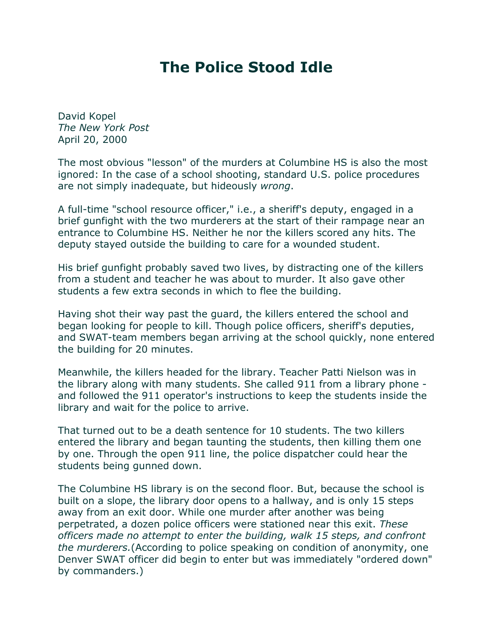## **The Police Stood Idle**

David Kopel *The New York Post* April 20, 2000

The most obvious "lesson" of the murders at Columbine HS is also the most ignored: In the case of a school shooting, standard U.S. police procedures are not simply inadequate, but hideously *wrong*.

A full-time "school resource officer," i.e., a sheriff's deputy, engaged in a brief gunfight with the two murderers at the start of their rampage near an entrance to Columbine HS. Neither he nor the killers scored any hits. The deputy stayed outside the building to care for a wounded student.

His brief gunfight probably saved two lives, by distracting one of the killers from a student and teacher he was about to murder. It also gave other students a few extra seconds in which to flee the building.

Having shot their way past the guard, the killers entered the school and began looking for people to kill. Though police officers, sheriff's deputies, and SWAT-team members began arriving at the school quickly, none entered the building for 20 minutes.

Meanwhile, the killers headed for the library. Teacher Patti Nielson was in the library along with many students. She called 911 from a library phone and followed the 911 operator's instructions to keep the students inside the library and wait for the police to arrive.

That turned out to be a death sentence for 10 students. The two killers entered the library and began taunting the students, then killing them one by one. Through the open 911 line, the police dispatcher could hear the students being gunned down.

The Columbine HS library is on the second floor. But, because the school is built on a slope, the library door opens to a hallway, and is only 15 steps away from an exit door. While one murder after another was being perpetrated, a dozen police officers were stationed near this exit. *These officers made no attempt to enter the building, walk 15 steps, and confront the murderers.*(According to police speaking on condition of anonymity, one Denver SWAT officer did begin to enter but was immediately "ordered down" by commanders.)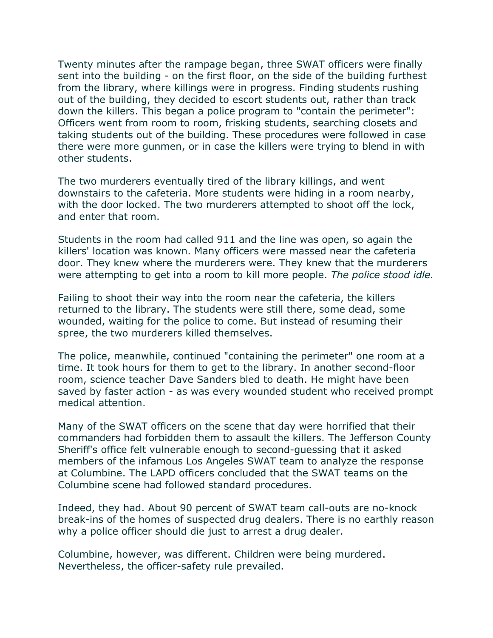Twenty minutes after the rampage began, three SWAT officers were finally sent into the building - on the first floor, on the side of the building furthest from the library, where killings were in progress. Finding students rushing out of the building, they decided to escort students out, rather than track down the killers. This began a police program to "contain the perimeter": Officers went from room to room, frisking students, searching closets and taking students out of the building. These procedures were followed in case there were more gunmen, or in case the killers were trying to blend in with other students.

The two murderers eventually tired of the library killings, and went downstairs to the cafeteria. More students were hiding in a room nearby, with the door locked. The two murderers attempted to shoot off the lock, and enter that room.

Students in the room had called 911 and the line was open, so again the killers' location was known. Many officers were massed near the cafeteria door. They knew where the murderers were. They knew that the murderers were attempting to get into a room to kill more people. *The police stood idle.*

Failing to shoot their way into the room near the cafeteria, the killers returned to the library. The students were still there, some dead, some wounded, waiting for the police to come. But instead of resuming their spree, the two murderers killed themselves.

The police, meanwhile, continued "containing the perimeter" one room at a time. It took hours for them to get to the library. In another second-floor room, science teacher Dave Sanders bled to death. He might have been saved by faster action - as was every wounded student who received prompt medical attention.

Many of the SWAT officers on the scene that day were horrified that their commanders had forbidden them to assault the killers. The Jefferson County Sheriff's office felt vulnerable enough to second-guessing that it asked members of the infamous Los Angeles SWAT team to analyze the response at Columbine. The LAPD officers concluded that the SWAT teams on the Columbine scene had followed standard procedures.

Indeed, they had. About 90 percent of SWAT team call-outs are no-knock break-ins of the homes of suspected drug dealers. There is no earthly reason why a police officer should die just to arrest a drug dealer.

Columbine, however, was different. Children were being murdered. Nevertheless, the officer-safety rule prevailed.